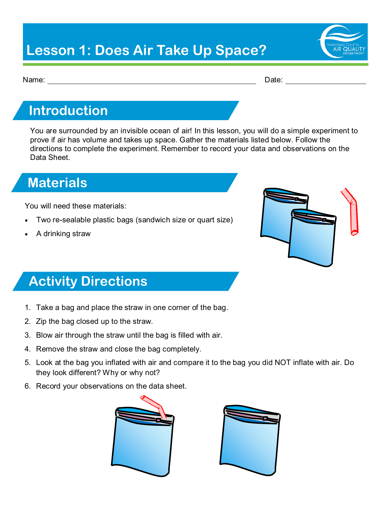# **Lesson 1: Does Air Take Up Space?**



Name: Date:

#### **Introduction**

You are surrounded by an invisible ocean of air! In this lesson, you will do a simple experiment to prove if air has volume and takes up space. Gather the materials listed below. Follow the directions to complete the experiment. Remember to record your data and observations on the Data Sheet.

### **Materials**

You will need these materials:

- Two re-sealable plastic bags (sandwich size or quart size)
- A drinking straw



# **Activity Directions**

- 1. Take a bag and place the straw in one corner of the bag.
- 2. Zip the bag closed up to the straw.
- 3. Blow air through the straw until the bag is filled with air.
- 4. Remove the straw and close the bag completely.
- 5. Look at the bag you inflated with air and compare it to the bag you did NOT inflate with air. Do they look different? Why or why not?
- 6. Record your observations on the data sheet.